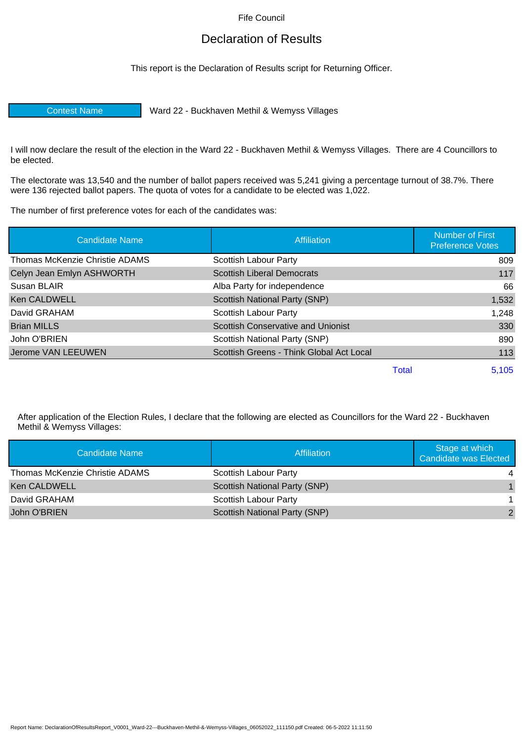Fife Council

## Declaration of Results

This report is the Declaration of Results script for Returning Officer.

Contest Name Ward 22 - Buckhaven Methil & Wemyss Villages

I will now declare the result of the election in the Ward 22 - Buckhaven Methil & Wemyss Villages. There are 4 Councillors to be elected.

The electorate was 13,540 and the number of ballot papers received was 5,241 giving a percentage turnout of 38.7%. There were 136 rejected ballot papers. The quota of votes for a candidate to be elected was 1,022.

The number of first preference votes for each of the candidates was:

| <b>Candidate Name</b>          | Affiliation                               | <b>Number of First</b><br><b>Preference Votes</b> |
|--------------------------------|-------------------------------------------|---------------------------------------------------|
| Thomas McKenzie Christie ADAMS | Scottish Labour Party                     | 809                                               |
| Celyn Jean Emlyn ASHWORTH      | <b>Scottish Liberal Democrats</b>         | 117                                               |
| Susan BLAIR                    | Alba Party for independence               | 66                                                |
| <b>Ken CALDWELL</b>            | Scottish National Party (SNP)             | 1,532                                             |
| David GRAHAM                   | Scottish Labour Party                     | 1,248                                             |
| <b>Brian MILLS</b>             | <b>Scottish Conservative and Unionist</b> | 330                                               |
| John O'BRIEN                   | Scottish National Party (SNP)             | 890                                               |
| Jerome VAN LEEUWEN             | Scottish Greens - Think Global Act Local  | 113                                               |
|                                | Total                                     | 5,105                                             |

After application of the Election Rules, I declare that the following are elected as Councillors for the Ward 22 - Buckhaven Methil & Wemyss Villages:

| Candidate Name                 | Affiliation                          | Stage at which<br>Candidate was Elected |
|--------------------------------|--------------------------------------|-----------------------------------------|
| Thomas McKenzie Christie ADAMS | Scottish Labour Party                |                                         |
| <b>Ken CALDWELL</b>            | <b>Scottish National Party (SNP)</b> |                                         |
| David GRAHAM                   | <b>Scottish Labour Party</b>         |                                         |
| John O'BRIEN                   | <b>Scottish National Party (SNP)</b> | 2                                       |